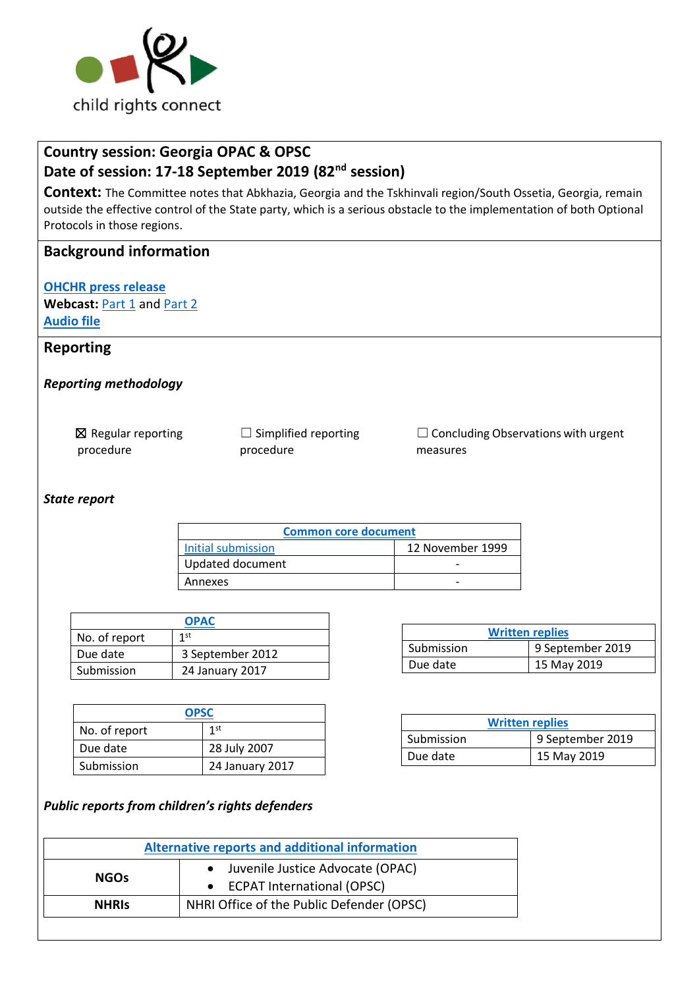

# **Country session: Georgia OPAC & OPSC Date of session: 17-18 September 2019 (82nd session)**

**Context:** The Committee notes that Abkhazia, Georgia and the Tskhinvali region/South Ossetia, Georgia, remain outside the effective control of the State party, which is a serious obstacle to the implementation of both Optional Protocols in those regions.

## **Background information**

#### **[OHCHR press release](https://www.ohchr.org/EN/NewsEvents/Pages/DisplayNews.aspx?NewsID=25019&LangID=E)**

**Webcast:** [Part 1](http://webtv.un.org/meetings-events/human-rights-treaty-bodies/committee-on-the-rights-of-the-child/watch/consideration-of-georgia-2413th-meeting-82nd-session-committee-on-the-rights-of-the-child/6087042341001/?term=) and [Part 2](http://webtv.un.org/meetings-events/human-rights-treaty-bodies/committee-on-the-rights-of-the-child/watch/consideration-of-georgia-contd-2414th-meeting-82nd-session-committee-on-the-rights-of-the-child/6087330069001/?term=) **[Audio file](https://conf.unog.ch/digitalrecordings/)**

## **Reporting**

*Reporting methodology*

☒ Regular reporting procedure

 $\Box$  Simplified reporting procedure

 $\Box$  Concluding Observations with urgent measures

#### *State report*

| <b>Common core document</b> |                  |
|-----------------------------|------------------|
| Initial submission          | 12 November 1999 |
| Updated document            |                  |
| Annexes                     |                  |

| <b>OPAC</b>   |                  |
|---------------|------------------|
| No. of report | 1 <sub>st</sub>  |
| Due date      | 3 September 2012 |
| Submission    | 24 January 2017  |

| <b>OPSC</b>   |                 |  |
|---------------|-----------------|--|
| No. of report | 1st             |  |
| Due date      | 28 July 2007    |  |
| Submission    | 24 January 2017 |  |

| <b>Written replies</b> |                  |  |
|------------------------|------------------|--|
| Submission             | 9 September 2019 |  |
| Due date               | 15 May 2019      |  |

| <b>Written replies</b> |                  |
|------------------------|------------------|
| Submission             | 9 September 2019 |
| Due date               | 15 May 2019      |

## *Public reports from children's rights defenders*

| <b>Alternative reports and additional information</b> |                                           |  |
|-------------------------------------------------------|-------------------------------------------|--|
| <b>NGOs</b>                                           | • Juvenile Justice Advocate (OPAC)        |  |
|                                                       | • ECPAT International (OPSC)              |  |
| <b>NHRIS</b>                                          | NHRI Office of the Public Defender (OPSC) |  |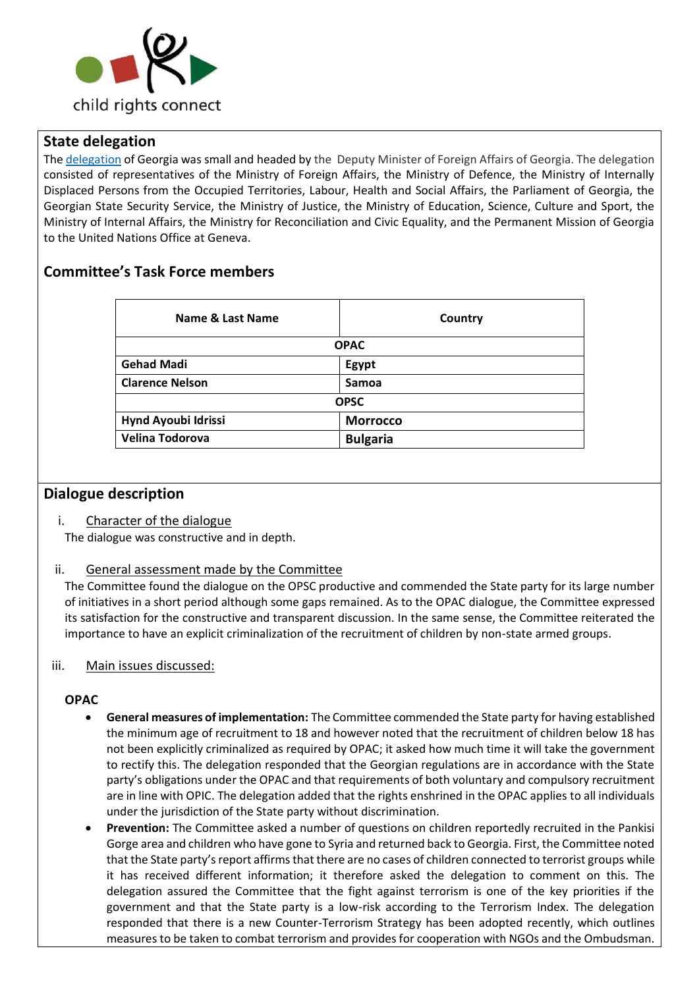

## **State delegation**

The [delegation](https://tbinternet.ohchr.org/_layouts/15/treatybodyexternal/Download.aspx?symbolno=INT%2fCRC-OP-SC%2fLOP%2fGEO%2f37014&Lang=en) of Georgia was small and headed by the Deputy Minister of Foreign Affairs of Georgia. The delegation consisted of representatives of the Ministry of Foreign Affairs, the Ministry of Defence, the Ministry of Internally Displaced Persons from the Occupied Territories, Labour, Health and Social Affairs, the Parliament of Georgia, the Georgian State Security Service, the Ministry of Justice, the Ministry of Education, Science, Culture and Sport, the Ministry of Internal Affairs, the Ministry for Reconciliation and Civic Equality, and the Permanent Mission of Georgia to the United Nations Office at Geneva.

# **Committee's Task Force members**

| Name & Last Name       | Country         |
|------------------------|-----------------|
|                        | <b>OPAC</b>     |
| <b>Gehad Madi</b>      | Egypt           |
| <b>Clarence Nelson</b> | <b>Samoa</b>    |
|                        | <b>OPSC</b>     |
| Hynd Ayoubi Idrissi    | <b>Morrocco</b> |
| Velina Todorova        | <b>Bulgaria</b> |
|                        |                 |

## **Dialogue description**

i. Character of the dialogue

The dialogue was constructive and in depth.

ii. General assessment made by the Committee

The Committee found the dialogue on the OPSC productive and commended the State party for its large number of initiatives in a short period although some gaps remained. As to the OPAC dialogue, the Committee expressed its satisfaction for the constructive and transparent discussion. In the same sense, the Committee reiterated the importance to have an explicit criminalization of the recruitment of children by non-state armed groups.

## iii. Main issues discussed:

## **OPAC**

- **General measures of implementation:** The Committee commended the State party for having established the minimum age of recruitment to 18 and however noted that the recruitment of children below 18 has not been explicitly criminalized as required by OPAC; it asked how much time it will take the government to rectify this. The delegation responded that the Georgian regulations are in accordance with the State party's obligations under the OPAC and that requirements of both voluntary and compulsory recruitment are in line with OPIC. The delegation added that the rights enshrined in the OPAC applies to all individuals under the jurisdiction of the State party without discrimination.
- **Prevention:** The Committee asked a number of questions on children reportedly recruited in the Pankisi Gorge area and children who have gone to Syria and returned back to Georgia. First, the Committee noted that the State party's report affirms that there are no cases of children connected to terrorist groups while it has received different information; it therefore asked the delegation to comment on this. The delegation assured the Committee that the fight against terrorism is one of the key priorities if the government and that the State party is a low-risk according to the Terrorism Index. The delegation responded that there is a new Counter-Terrorism Strategy has been adopted recently, which outlines measures to be taken to combat terrorism and provides for cooperation with NGOs and the Ombudsman.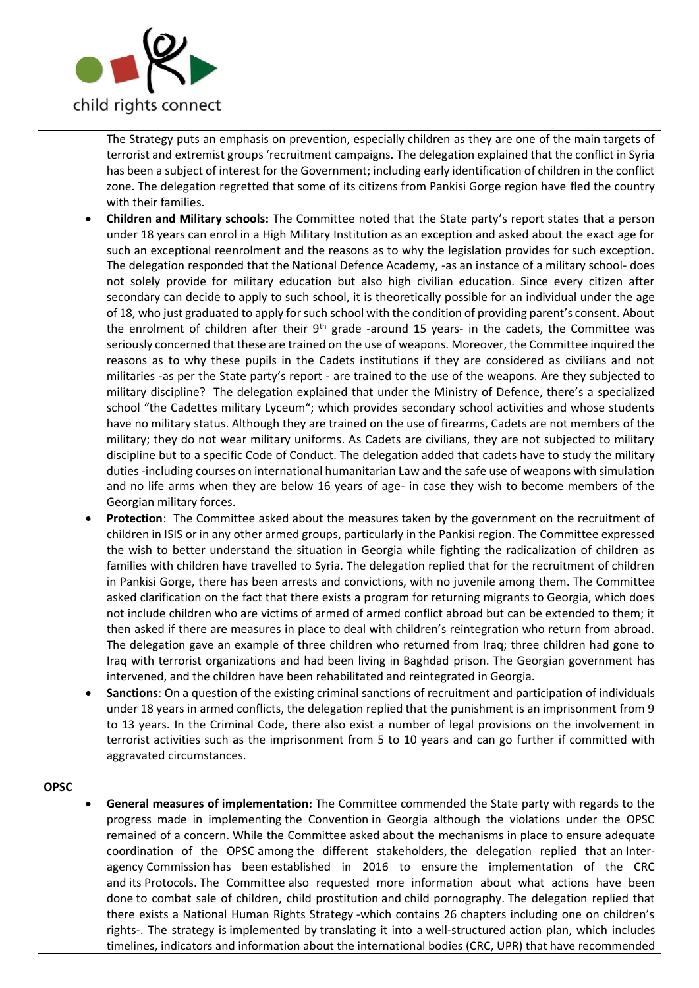

The Strategy puts an emphasis on prevention, especially children as they are one of the main targets of terrorist and extremist groups 'recruitment campaigns. The delegation explained that the conflict in Syria has been a subject of interest for the Government; including early identification of children in the conflict zone. The delegation regretted that some of its citizens from Pankisi Gorge region have fled the country with their families.

- **Children and Military schools:** The Committee noted that the State party's report states that a person under 18 years can enrol in a High Military Institution as an exception and asked about the exact age for such an exceptional reenrolment and the reasons as to why the legislation provides for such exception. The delegation responded that the National Defence Academy, -as an instance of a military school- does not solely provide for military education but also high civilian education. Since every citizen after secondary can decide to apply to such school, it is theoretically possible for an individual under the age of 18, who just graduated to apply for such school with the condition of providing parent's consent. About the enrolment of children after their  $9<sup>th</sup>$  grade -around 15 years- in the cadets, the Committee was seriously concerned that these are trained on the use of weapons. Moreover, the Committee inquired the reasons as to why these pupils in the Cadets institutions if they are considered as civilians and not militaries -as per the State party's report - are trained to the use of the weapons. Are they subjected to military discipline? The delegation explained that under the Ministry of Defence, there's a specialized school "the Cadettes military Lyceum"; which provides secondary school activities and whose students have no military status. Although they are trained on the use of firearms, Cadets are not members of the military; they do not wear military uniforms. As Cadets are civilians, they are not subjected to military discipline but to a specific Code of Conduct. The delegation added that cadets have to study the military duties -including courses on international humanitarian Law and the safe use of weapons with simulation and no life arms when they are below 16 years of age- in case they wish to become members of the Georgian military forces.
- **Protection**: The Committee asked about the measures taken by the government on the recruitment of children in ISIS or in any other armed groups, particularly in the Pankisi region. The Committee expressed the wish to better understand the situation in Georgia while fighting the radicalization of children as families with children have travelled to Syria. The delegation replied that for the recruitment of children in Pankisi Gorge, there has been arrests and convictions, with no juvenile among them. The Committee asked clarification on the fact that there exists a program for returning migrants to Georgia, which does not include children who are victims of armed of armed conflict abroad but can be extended to them; it then asked if there are measures in place to deal with children's reintegration who return from abroad. The delegation gave an example of three children who returned from Iraq; three children had gone to Iraq with terrorist organizations and had been living in Baghdad prison. The Georgian government has intervened, and the children have been rehabilitated and reintegrated in Georgia.
- **Sanctions**: On a question of the existing criminal sanctions of recruitment and participation of individuals under 18 years in armed conflicts, the delegation replied that the punishment is an imprisonment from 9 to 13 years. In the Criminal Code, there also exist a number of legal provisions on the involvement in terrorist activities such as the imprisonment from 5 to 10 years and can go further if committed with aggravated circumstances.

#### **OPSC**

• **General measures of implementation:** The Committee commended the State party with regards to the progress made in implementing the Convention in Georgia although the violations under the OPSC remained of a concern. While the Committee asked about the mechanisms in place to ensure adequate coordination of the OPSC among the different stakeholders, the delegation replied that an Interagency Commission has been established in 2016 to ensure the implementation of the CRC and its Protocols. The Committee also requested more information about what actions have been done to combat sale of children, child prostitution and child pornography. The delegation replied that there exists a National Human Rights Strategy -which contains 26 chapters including one on children's rights-. The strategy is implemented by translating it into a well-structured action plan, which includes timelines, indicators and information about the international bodies (CRC, UPR) that have recommended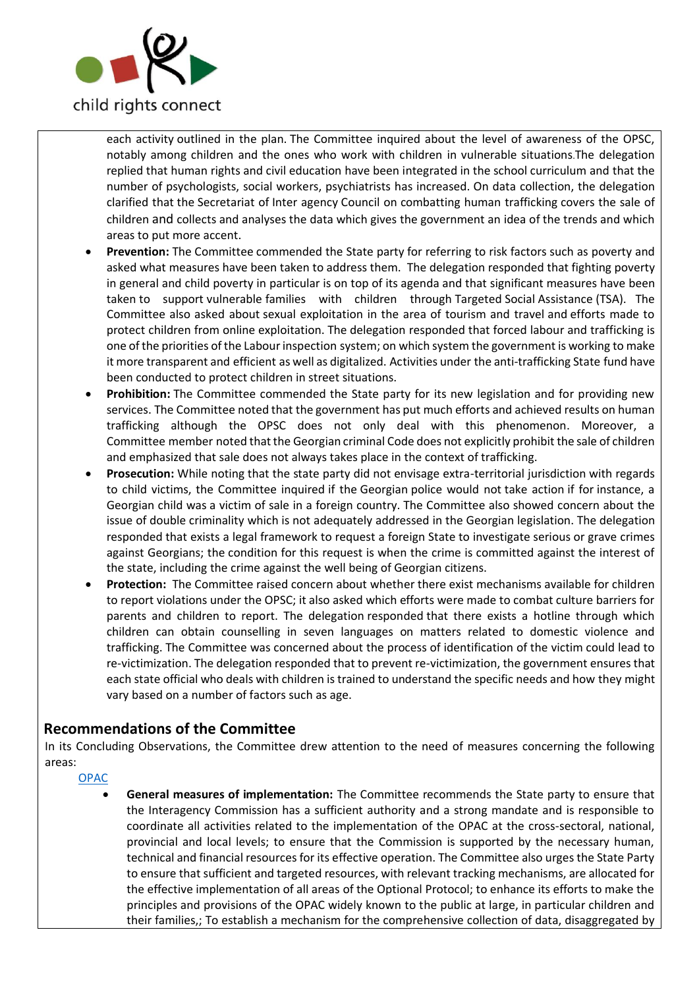

each activity outlined in the plan. The Committee inquired about the level of awareness of the OPSC, notably among children and the ones who work with children in vulnerable situations.The delegation replied that human rights and civil education have been integrated in the school curriculum and that the number of psychologists, social workers, psychiatrists has increased. On data collection, the delegation clarified that the Secretariat of Inter agency Council on combatting human trafficking covers the sale of children and collects and analyses the data which gives the government an idea of the trends and which areas to put more accent.

- **Prevention:** The Committee commended the State party for referring to risk factors such as poverty and asked what measures have been taken to address them. The delegation responded that fighting poverty in general and child poverty in particular is on top of its agenda and that significant measures have been taken to support vulnerable families with children through Targeted Social Assistance (TSA). The Committee also asked about sexual exploitation in the area of tourism and travel and efforts made to protect children from online exploitation. The delegation responded that forced labour and trafficking is one of the priorities of the Labour inspection system; on which system the government is working to make it more transparent and efficient as well as digitalized. Activities under the anti-trafficking State fund have been conducted to protect children in street situations.
- **Prohibition:** The Committee commended the State party for its new legislation and for providing new services. The Committee noted that the government has put much efforts and achieved results on human trafficking although the OPSC does not only deal with this phenomenon. Moreover, a Committee member noted that the Georgian criminal Code does not explicitly prohibit the sale of children and emphasized that sale does not always takes place in the context of trafficking.
- **Prosecution:** While noting that the state party did not envisage extra-territorial jurisdiction with regards to child victims, the Committee inquired if the Georgian police would not take action if for instance, a Georgian child was a victim of sale in a foreign country. The Committee also showed concern about the issue of double criminality which is not adequately addressed in the Georgian legislation. The delegation responded that exists a legal framework to request a foreign State to investigate serious or grave crimes against Georgians; the condition for this request is when the crime is committed against the interest of the state, including the crime against the well being of Georgian citizens.
- **Protection:** The Committee raised concern about whether there exist mechanisms available for children to report violations under the OPSC; it also asked which efforts were made to combat culture barriers for parents and children to report. The delegation responded that there exists a hotline through which children can obtain counselling in seven languages on matters related to domestic violence and trafficking. The Committee was concerned about the process of identification of the victim could lead to re-victimization. The delegation responded that to prevent re-victimization, the government ensures that each state official who deals with children is trained to understand the specific needs and how they might vary based on a number of factors such as age.

## **Recommendations of the Committee**

In its Concluding Observations, the Committee drew attention to the need of measures concerning the following areas:

**[OPAC](https://tbinternet.ohchr.org/_layouts/15/treatybodyexternal/SessionDetails1.aspx?SessionID=1272&Lang=en)** 

• **General measures of implementation:** The Committee recommends the State party to ensure that the Interagency Commission has a sufficient authority and a strong mandate and is responsible to coordinate all activities related to the implementation of the OPAC at the cross-sectoral, national, provincial and local levels; to ensure that the Commission is supported by the necessary human, technical and financial resources for its effective operation. The Committee also urges the State Party to ensure that sufficient and targeted resources, with relevant tracking mechanisms, are allocated for the effective implementation of all areas of the Optional Protocol; to enhance its efforts to make the principles and provisions of the OPAC widely known to the public at large, in particular children and their families,; To establish a mechanism for the comprehensive collection of data, disaggregated by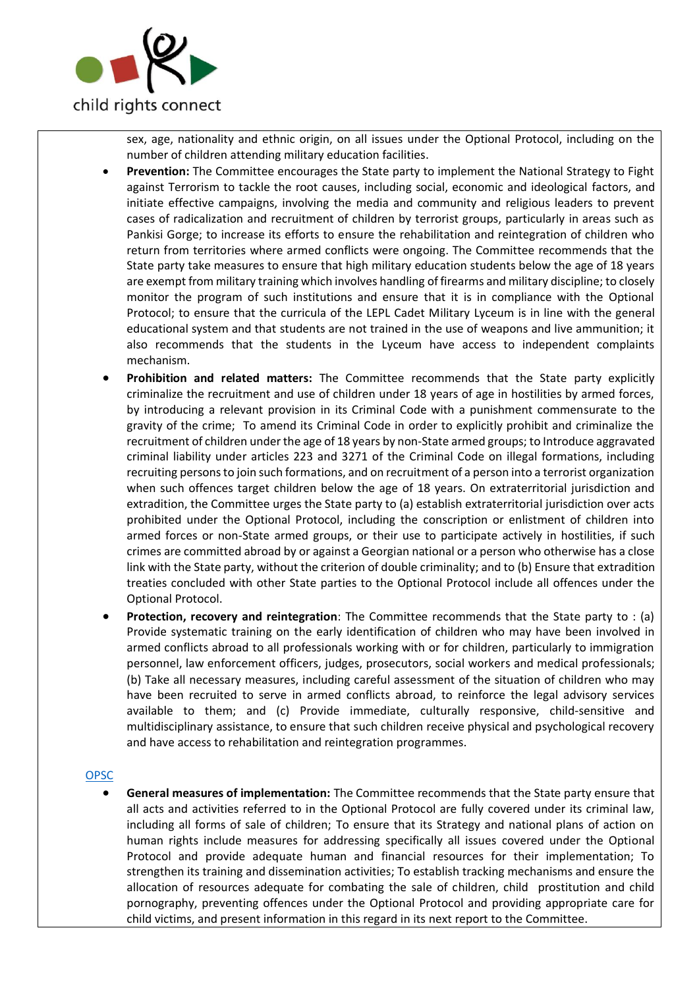

sex, age, nationality and ethnic origin, on all issues under the Optional Protocol, including on the number of children attending military education facilities.

- **Prevention:** The Committee encourages the State party to implement the National Strategy to Fight against Terrorism to tackle the root causes, including social, economic and ideological factors, and initiate effective campaigns, involving the media and community and religious leaders to prevent cases of radicalization and recruitment of children by terrorist groups, particularly in areas such as Pankisi Gorge; to increase its efforts to ensure the rehabilitation and reintegration of children who return from territories where armed conflicts were ongoing. The Committee recommends that the State party take measures to ensure that high military education students below the age of 18 years are exempt from military training which involves handling of firearms and military discipline; to closely monitor the program of such institutions and ensure that it is in compliance with the Optional Protocol; to ensure that the curricula of the LEPL Cadet Military Lyceum is in line with the general educational system and that students are not trained in the use of weapons and live ammunition; it also recommends that the students in the Lyceum have access to independent complaints mechanism.
- **Prohibition and related matters:** The Committee recommends that the State party explicitly criminalize the recruitment and use of children under 18 years of age in hostilities by armed forces, by introducing a relevant provision in its Criminal Code with a punishment commensurate to the gravity of the crime; To amend its Criminal Code in order to explicitly prohibit and criminalize the recruitment of children under the age of 18 years by non-State armed groups; to Introduce aggravated criminal liability under articles 223 and 3271 of the Criminal Code on illegal formations, including recruiting persons to join such formations, and on recruitment of a person into a terrorist organization when such offences target children below the age of 18 years. On extraterritorial jurisdiction and extradition, the Committee urges the State party to (a) establish extraterritorial jurisdiction over acts prohibited under the Optional Protocol, including the conscription or enlistment of children into armed forces or non-State armed groups, or their use to participate actively in hostilities, if such crimes are committed abroad by or against a Georgian national or a person who otherwise has a close link with the State party, without the criterion of double criminality; and to (b) Ensure that extradition treaties concluded with other State parties to the Optional Protocol include all offences under the Optional Protocol.
- **Protection, recovery and reintegration**: The Committee recommends that the State party to : (a) Provide systematic training on the early identification of children who may have been involved in armed conflicts abroad to all professionals working with or for children, particularly to immigration personnel, law enforcement officers, judges, prosecutors, social workers and medical professionals; (b) Take all necessary measures, including careful assessment of the situation of children who may have been recruited to serve in armed conflicts abroad, to reinforce the legal advisory services available to them; and (c) Provide immediate, culturally responsive, child-sensitive and multidisciplinary assistance, to ensure that such children receive physical and psychological recovery and have access to rehabilitation and reintegration programmes.

#### [OPSC](https://tbinternet.ohchr.org/_layouts/15/treatybodyexternal/SessionDetails1.aspx?SessionID=1273&Lang=en)

• **General measures of implementation:** The Committee recommends that the State party ensure that all acts and activities referred to in the Optional Protocol are fully covered under its criminal law, including all forms of sale of children; To ensure that its Strategy and national plans of action on human rights include measures for addressing specifically all issues covered under the Optional Protocol and provide adequate human and financial resources for their implementation; To strengthen its training and dissemination activities; To establish tracking mechanisms and ensure the allocation of resources adequate for combating the sale of children, child prostitution and child pornography, preventing offences under the Optional Protocol and providing appropriate care for child victims, and present information in this regard in its next report to the Committee.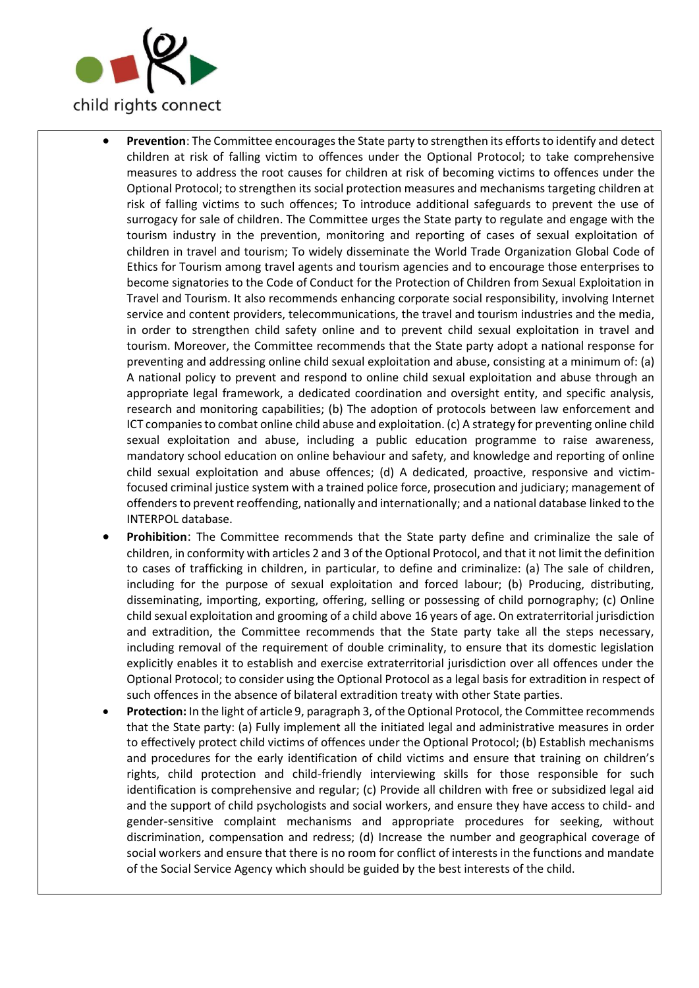

- **Prevention**: The Committee encourages the State party to strengthen its efforts to identify and detect children at risk of falling victim to offences under the Optional Protocol; to take comprehensive measures to address the root causes for children at risk of becoming victims to offences under the Optional Protocol; to strengthen its social protection measures and mechanisms targeting children at risk of falling victims to such offences; To introduce additional safeguards to prevent the use of surrogacy for sale of children. The Committee urges the State party to regulate and engage with the tourism industry in the prevention, monitoring and reporting of cases of sexual exploitation of children in travel and tourism; To widely disseminate the World Trade Organization Global Code of Ethics for Tourism among travel agents and tourism agencies and to encourage those enterprises to become signatories to the Code of Conduct for the Protection of Children from Sexual Exploitation in Travel and Tourism. It also recommends enhancing corporate social responsibility, involving Internet service and content providers, telecommunications, the travel and tourism industries and the media, in order to strengthen child safety online and to prevent child sexual exploitation in travel and tourism. Moreover, the Committee recommends that the State party adopt a national response for preventing and addressing online child sexual exploitation and abuse, consisting at a minimum of: (a) A national policy to prevent and respond to online child sexual exploitation and abuse through an appropriate legal framework, a dedicated coordination and oversight entity, and specific analysis, research and monitoring capabilities; (b) The adoption of protocols between law enforcement and ICT companies to combat online child abuse and exploitation. (c) A strategy for preventing online child sexual exploitation and abuse, including a public education programme to raise awareness, mandatory school education on online behaviour and safety, and knowledge and reporting of online child sexual exploitation and abuse offences; (d) A dedicated, proactive, responsive and victimfocused criminal justice system with a trained police force, prosecution and judiciary; management of offenders to prevent reoffending, nationally and internationally; and a national database linked to the INTERPOL database.
- **Prohibition**: The Committee recommends that the State party define and criminalize the sale of children, in conformity with articles 2 and 3 of the Optional Protocol, and that it not limit the definition to cases of trafficking in children, in particular, to define and criminalize: (a) The sale of children, including for the purpose of sexual exploitation and forced labour; (b) Producing, distributing, disseminating, importing, exporting, offering, selling or possessing of child pornography; (c) Online child sexual exploitation and grooming of a child above 16 years of age. On extraterritorial jurisdiction and extradition, the Committee recommends that the State party take all the steps necessary, including removal of the requirement of double criminality, to ensure that its domestic legislation explicitly enables it to establish and exercise extraterritorial jurisdiction over all offences under the Optional Protocol; to consider using the Optional Protocol as a legal basis for extradition in respect of such offences in the absence of bilateral extradition treaty with other State parties.
- **Protection:** In the light of article 9, paragraph 3, of the Optional Protocol, the Committee recommends that the State party: (a) Fully implement all the initiated legal and administrative measures in order to effectively protect child victims of offences under the Optional Protocol; (b) Establish mechanisms and procedures for the early identification of child victims and ensure that training on children's rights, child protection and child-friendly interviewing skills for those responsible for such identification is comprehensive and regular; (c) Provide all children with free or subsidized legal aid and the support of child psychologists and social workers, and ensure they have access to child- and gender-sensitive complaint mechanisms and appropriate procedures for seeking, without discrimination, compensation and redress; (d) Increase the number and geographical coverage of social workers and ensure that there is no room for conflict of interests in the functions and mandate of the Social Service Agency which should be guided by the best interests of the child.